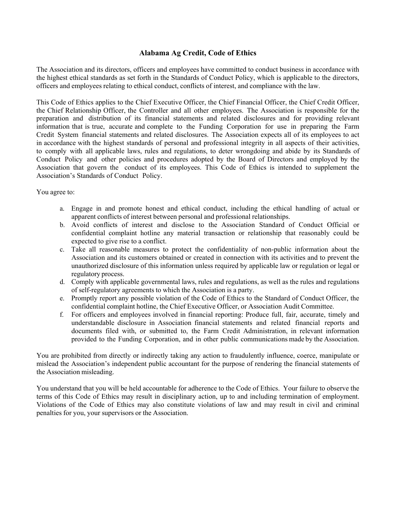## **Alabama Ag Credit, Code of Ethics**

The Association and its directors, officers and employees have committed to conduct business in accordance with the highest ethical standards as set forth in the Standards of Conduct Policy, which is applicable to the directors, officers and employees relating to ethical conduct, conflicts of interest, and compliance with the law.

This Code of Ethics applies to the Chief Executive Officer, the Chief Financial Officer, the Chief Credit Officer, the Chief Relationship Officer, the Controller and all other employees. The Association is responsible for the preparation and distribution of its financial statements and related disclosures and for providing relevant information that is true, accurate and complete to the Funding Corporation for use in preparing the Farm Credit System financial statements and related disclosures. The Association expects all of its employees to act in accordance with the highest standards of personal and professional integrity in all aspects of their activities, to comply with all applicable laws, rules and regulations, to deter wrongdoing and abide by its Standards of Conduct Policy and other policies and procedures adopted by the Board of Directors and employed by the Association that govern the conduct of its employees. This Code of Ethics is intended to supplement the Association's Standards of Conduct Policy.

You agree to:

- a. Engage in and promote honest and ethical conduct, including the ethical handling of actual or apparent conflicts of interest between personal and professional relationships.
- b. Avoid conflicts of interest and disclose to the Association Standard of Conduct Official or confidential complaint hotline any material transaction or relationship that reasonably could be expected to give rise to a conflict.
- c. Take all reasonable measures to protect the confidentiality of non-public information about the Association and its customers obtained or created in connection with its activities and to prevent the unauthorized disclosure of this information unless required by applicable law or regulation or legal or regulatory process.
- d. Comply with applicable governmental laws, rules and regulations, as well as the rules and regulations of self-regulatory agreements to which the Association is a party.
- e. Promptly report any possible violation of the Code of Ethics to the Standard of Conduct Officer, the confidential complaint hotline, the Chief Executive Officer, or Association Audit Committee.
- f. For officers and employees involved in financial reporting: Produce full, fair, accurate, timely and understandable disclosure in Association financial statements and related financial reports and documents filed with, or submitted to, the Farm Credit Administration, in relevant information provided to the Funding Corporation, and in other public communications made by the Association.

You are prohibited from directly or indirectly taking any action to fraudulently influence, coerce, manipulate or mislead the Association's independent public accountant for the purpose of rendering the financial statements of the Association misleading.

You understand that you will be held accountable for adherence to the Code of Ethics. Your failure to observe the terms of this Code of Ethics may result in disciplinary action, up to and including termination of employment. Violations of the Code of Ethics may also constitute violations of law and may result in civil and criminal penalties for you, your supervisors or the Association.